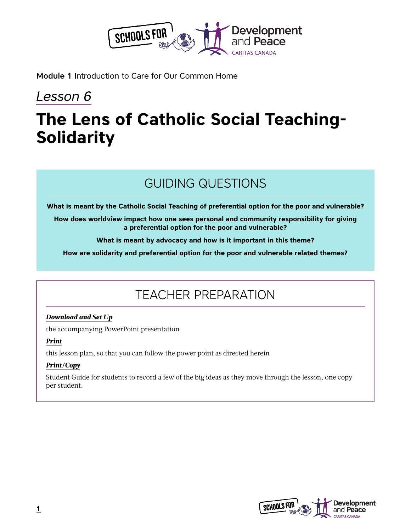

Module 1 Introduction to Care for Our Common Home

# *Lesson 6*

# **The Lens of Catholic Social Teaching-Solidarity**

# GUIDING QUESTIONS

**What is meant by the Catholic Social Teaching of preferential option for the poor and vulnerable?**

**How does worldview impact how one sees personal and community responsibility for giving a preferential option for the poor and vulnerable?**

**What is meant by advocacy and how is it important in this theme?**

**How are solidarity and preferential option for the poor and vulnerable related themes?**

# TEACHER PREPARATION

### *Download and Set Up*

the accompanying PowerPoint presentation

### *Print*

this lesson plan, so that you can follow the power point as directed herein

### *Print/Copy*

Student Guide for students to record a few of the big ideas as they move through the lesson, one copy per student.

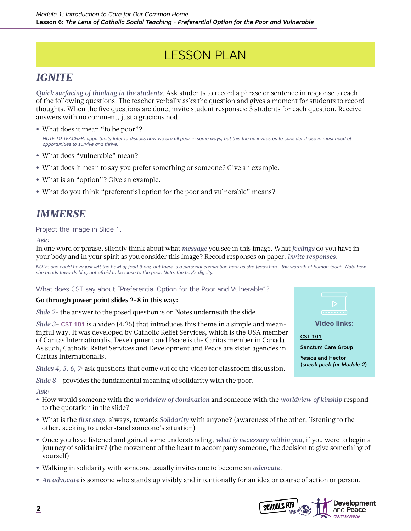# LESSON PLAN

### *IGNITE*

*Quick surfacing of thinking in the students*. Ask students to record a phrase or sentence in response to each of the following questions. The teacher verbally asks the question and gives a moment for students to record thoughts. When the five questions are done, invite student responses: 3 students for each question. Receive answers with no comment, just a gracious nod.

- What does it mean "to be poor"? *NOTE TO TEACHER: opportunity later to discuss how we are all poor in some ways, but this theme invites us to consider those in most need of opportunities to survive and thrive.*
- **•** What does "vulnerable" mean?
- **•** What does it mean to say you prefer something or someone? Give an example.
- **•** What is an "option"? Give an example.
- **•** What do you think "preferential option for the poor and vulnerable" means?

### *IMMERSE*

### Project the image in Slide 1.

*Ask:*

In one word or phrase, silently think about what *message* you see in this image. What *feelings* do you have in your body and in your spirit as you consider this image? Record responses on paper. *Invite responses.*

*NOTE: she could have just left the bowl of food there, but there is a personal connection here as she feeds him—the warmth of human touch. Note how she bends towards him, not afraid to be close to the poor. Note: the boy's dignity.*

### What does CST say about "Preferential Option for the Poor and Vulnerable"?

### **Go through power point slides 2-8 in this way:**

*Slide 2*- the answer to the posed question is on Notes underneath the slide

**Video links:** [CST 101](https://www.youtube.com/watch?v=c3gxBjtOzNM&list=PLCcRwCf823_M202WeQmkX2ckdlHnsfYmu&index=3) [Sanctum Care Group](https://www.youtube.com/watch?v=w74GkSBOFoc) [Yesica and Hector](https://www.youtube.com/watch?v=MCA-_wwW-uo) (*sneak peek for Module 2*)

*Slide 3*- [CST 101](https://www.youtube.com/watch?v=c3gxBjtOzNM&list=PLCcRwCf823_M202WeQmkX2ckdlHnsfYmu&index=3) is a video (4:26) that introduces this theme in a simple and meaningful way. It was developed by Catholic Relief Services, which is the USA member of Caritas Internationalis. Development and Peace is the Caritas member in Canada. As such, Catholic Relief Services and Development and Peace are sister agencies in Caritas Internationalis.

*Slides 4, 5, 6, 7*: ask questions that come out of the video for classroom discussion.

*Slide 8* – provides the fundamental meaning of solidarity with the poor.

*Ask:* 

- **•** How would someone with the *worldview of domination* and someone with the *worldview of kinship* respond to the quotation in the slide?
- **•** What is the *first step*, always, towards *Solidarity* with anyone? (awareness of the other, listening to the other, seeking to understand someone's situation)
- **•** Once you have listened and gained some understanding, *what is necessary within you*, if you were to begin a journey of solidarity? (the movement of the heart to accompany someone, the decision to give something of yourself)
- **•** Walking in solidarity with someone usually invites one to become an *advocate*.
- **•** *An advocate* is someone who stands up visibly and intentionally for an idea or course of action or person.

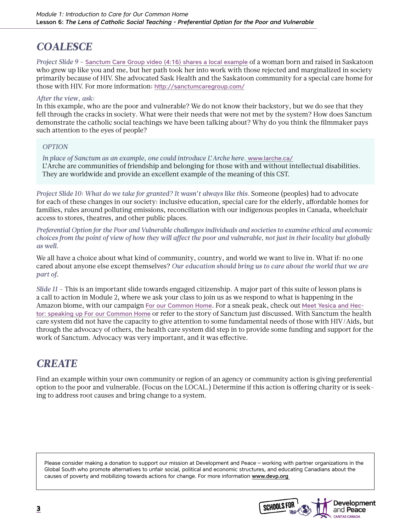### *COALESCE*

*Project Slide 9* – [Sanctum Care Group video \(4:16\) shares a local example](https://www.youtube.com/watch?v=w74GkSBOFoc) of a woman born and raised in Saskatoon who grew up like you and me, but her path took her into work with those rejected and marginalized in society primarily because of HIV. She advocated Sask Health and the Saskatoon community for a special care home for those with HIV. For more information: <http://sanctumcaregroup.com/>

### *After the view, ask:*

In this example, who are the poor and vulnerable? We do not know their backstory, but we do see that they fell through the cracks in society. What were their needs that were not met by the system? How does Sanctum demonstrate the catholic social teachings we have been talking about? Why do you think the filmmaker pays such attention to the eyes of people?

### *OPTION*

*In place of Sanctum as an example, one could introduce L'Arche here.* [www.larche.ca/](http://www.larche.ca/) L'Arche are communities of friendship and belonging for those with and without intellectual disabilities. They are worldwide and provide an excellent example of the meaning of this CST.

*Project Slide 10: What do we take for granted? It wasn't always like this.* Someone (peoples) had to advocate for each of these changes in our society: inclusive education, special care for the elderly, affordable homes for families, rules around polluting emissions, reconciliation with our indigenous peoples in Canada, wheelchair access to stores, theatres, and other public places.

*Preferential Option for the Poor and Vulnerable challenges individuals and societies to examine ethical and economic choices from the point of view of how they will affect the poor and vulnerable, not just in their locality but globally as well.*

We all have a choice about what kind of community, country, and world we want to live in. What if: no one cared about anyone else except themselves? *Our education should bring us to care about the world that we are part of*.

*Slide 11* – This is an important slide towards engaged citizenship. A major part of this suite of lesson plans is a call to action in Module 2, where we ask your class to join us as we respond to what is happening in the Amazon biome, with our campaign [For our Common Home](https://www.devp.org/en/campaign/forourcommonhome). For a sneak peak, check out [Meet Yesica and Hec](https://www.youtube.com/watch?v=MCA-_wwW-uo)[tor: speaking up For our Common Home](https://www.youtube.com/watch?v=MCA-_wwW-uo) or refer to the story of Sanctum just discussed. With Sanctum the health care system did not have the capacity to give attention to some fundamental needs of those with HIV/Aids, but through the advocacy of others, the health care system did step in to provide some funding and support for the work of Sanctum. Advocacy was very important, and it was effective.

### *CREATE*

Find an example within your own community or region of an agency or community action is giving preferential option to the poor and vulnerable. (Focus on the LOCAL.) Determine if this action is offering charity or is seeking to address root causes and bring change to a system.

Please consider making a donation to support our mission at Development and Peace – working with partner organizations in the Global South who promote alternatives to unfair social, political and economic structures, and educating Canadians about the causes of poverty and mobilizing towards actions for change. For more information www.devp.org

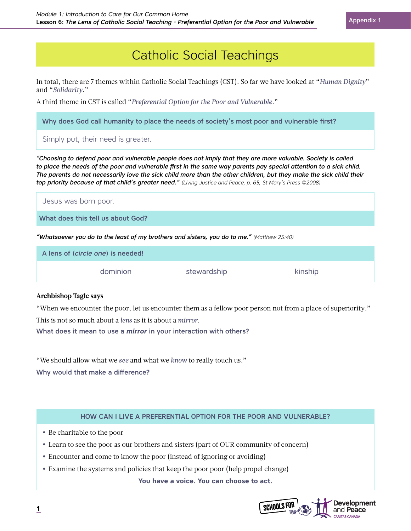# Catholic Social Teachings

In total, there are 7 themes within Catholic Social Teachings (CST). So far we have looked at "*Human Dignity*" and "*Solidarity*."

A third theme in CST is called "*Preferential Option for the Poor and Vulnerable.*"

Why does God call humanity to place the needs of society's most poor and vulnerable first?

Simply put, their need is greater.

*"Choosing to defend poor and vulnerable people does not imply that they are more valuable. Society is called*  to place the needs of the poor and vulnerable first in the same way parents pay special attention to a sick child. *The parents do not necessarily love the sick child more than the other children, but they make the sick child their top priority because of that child's greater need." (Living Justice and Peace, p. 65, St Mary's Press ©2008)*

Jesus was born poor.

What does this tell us about God?

*"Whatsoever you do to the least of my brothers and sisters, you do to me." (Matthew 25:40)*

| A lens of (circle one) is needed! |             |         |  |
|-----------------------------------|-------------|---------|--|
| dominion                          | stewardship | kinship |  |

### **Archbishop Tagle says**

"When we encounter the poor, let us encounter them as a fellow poor person not from a place of superiority." This is not so much about a *lens* as it is about a *mirror*.

What does it mean to use a *mirror* in your interaction with others?

"We should allow what we *see* and what we *know* to really touch us."

Why would that make a difference?

### HOW CAN I LIVE A PREFERENTIAL OPTION FOR THE POOR AND VULNERABLE?

- **•** Be charitable to the poor
- **•** Learn to see the poor as our brothers and sisters (part of OUR community of concern)
- **•** Encounter and come to know the poor (instead of ignoring or avoiding)
- **•** Examine the systems and policies that keep the poor poor (help propel change)

**You have a voice. You can choose to act.**